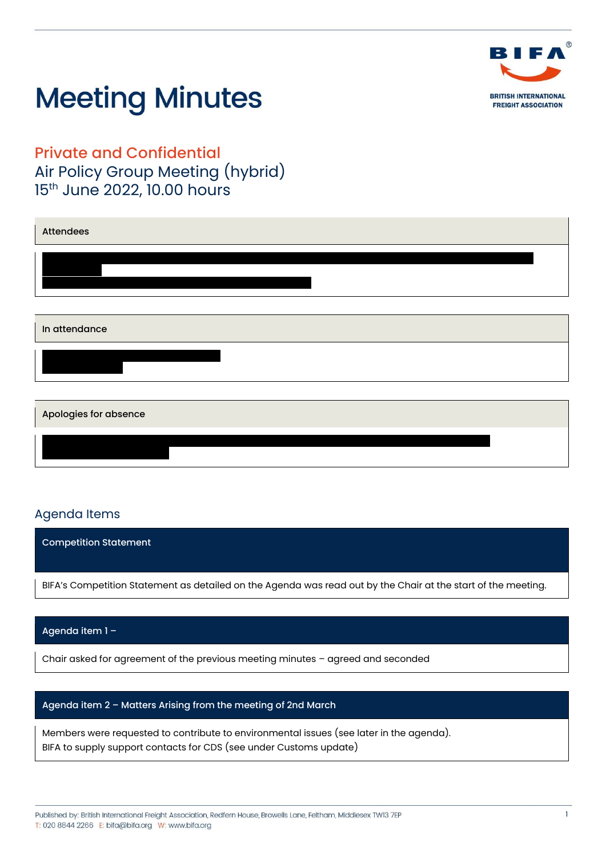

Private and Confidential Air Policy Group Meeting (hybrid) 15<sup>th</sup> June 2022, 10.00 hours

| <b>Attendees</b>      |  |
|-----------------------|--|
|                       |  |
|                       |  |
|                       |  |
| In attendance         |  |
|                       |  |
|                       |  |
| Apologies for absence |  |
|                       |  |

# Agenda Items

Competition Statement BIFA's Competition Statement as detailed on the Agenda was read out by the Chair at the start of the meeting.

## Agenda item 1 –

Chair asked for agreement of the previous meeting minutes – agreed and seconded

## Agenda item 2 – Matters Arising from the meeting of 2nd March

Members were requested to contribute to environmental issues (see later in the agenda). BIFA to supply support contacts for CDS (see under Customs update)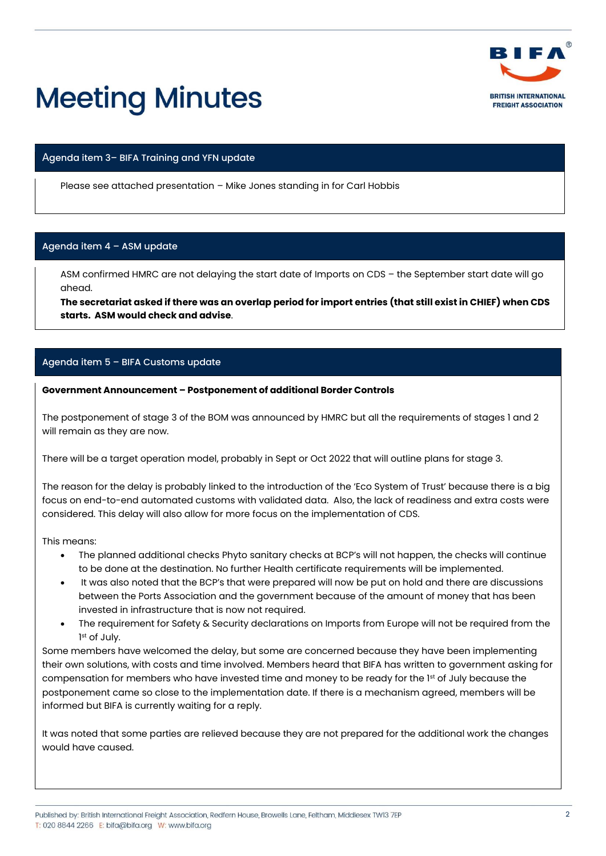

#### Agenda item 3– BIFA Training and YFN update

Please see attached presentation – Mike Jones standing in for Carl Hobbis

#### Agenda item 4 – ASM update

ASM confirmed HMRC are not delaying the start date of Imports on CDS – the September start date will go ahead.

**The secretariat asked if there was an overlap period for import entries (that still exist in CHIEF) when CDS starts. ASM would check and advise**.

#### Agenda item 5 – BIFA Customs update

#### **Government Announcement – Postponement of additional Border Controls**

The postponement of stage 3 of the BOM was announced by HMRC but all the requirements of stages 1 and 2 will remain as they are now.

There will be a target operation model, probably in Sept or Oct 2022 that will outline plans for stage 3.

The reason for the delay is probably linked to the introduction of the 'Eco System of Trust' because there is a big focus on end-to-end automated customs with validated data. Also, the lack of readiness and extra costs were considered. This delay will also allow for more focus on the implementation of CDS.

This means:

- The planned additional checks Phyto sanitary checks at BCP's will not happen, the checks will continue to be done at the destination. No further Health certificate requirements will be implemented.
- It was also noted that the BCP's that were prepared will now be put on hold and there are discussions between the Ports Association and the government because of the amount of money that has been invested in infrastructure that is now not required.
- The requirement for Safety & Security declarations on Imports from Europe will not be required from the 1 st of July.

Some members have welcomed the delay, but some are concerned because they have been implementing their own solutions, with costs and time involved. Members heard that BIFA has written to government asking for compensation for members who have invested time and money to be ready for the 1<sup>st</sup> of July because the postponement came so close to the implementation date. If there is a mechanism agreed, members will be informed but BIFA is currently waiting for a reply.

It was noted that some parties are relieved because they are not prepared for the additional work the changes would have caused.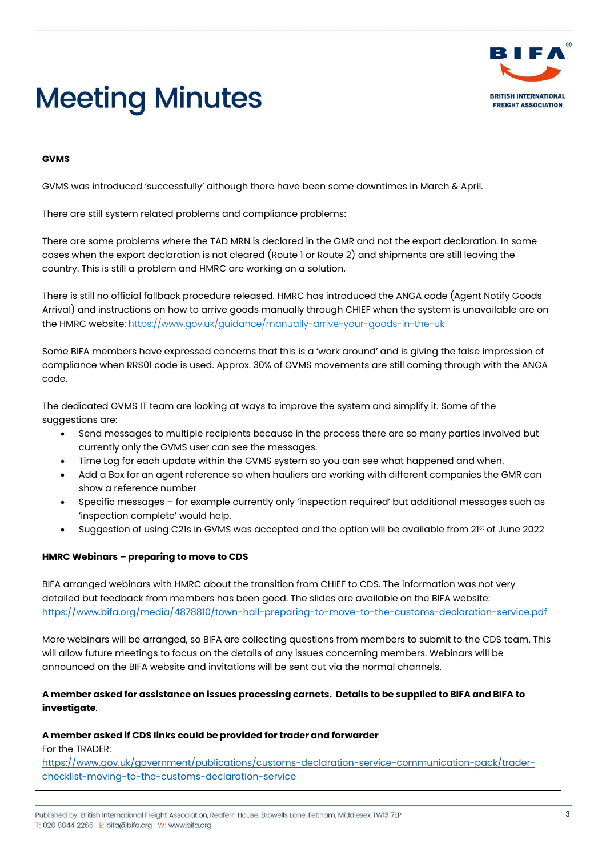

## **GVMS**

GVMS was introduced 'successfully' although there have been some downtimes in March & April.

There are still system related problems and compliance problems:

There are some problems where the TAD MRN is declared in the GMR and not the export declaration. In some cases when the export declaration is not cleared (Route 1 or Route 2) and shipments are still leaving the country. This is still a problem and HMRC are working on a solution.

There is still no official fallback procedure released. HMRC has introduced the ANGA code (Agent Notify Goods Arrival) and instructions on how to arrive goods manually through CHIEF when the system is unavailable are on the HMRC website:<https://www.gov.uk/guidance/manually-arrive-your-goods-in-the-uk>

Some BIFA members have expressed concerns that this is a 'work around' and is giving the false impression of compliance when RRS01 code is used. Approx. 30% of GVMS movements are still coming through with the ANGA code.

The dedicated GVMS IT team are looking at ways to improve the system and simplify it. Some of the suggestions are:

- Send messages to multiple recipients because in the process there are so many parties involved but currently only the GVMS user can see the messages.
- Time Log for each update within the GVMS system so you can see what happened and when.
- Add a Box for an agent reference so when hauliers are working with different companies the GMR can show a reference number
- Specific messages for example currently only 'inspection required' but additional messages such as 'inspection complete' would help.
- Suggestion of using C21s in GVMS was accepted and the option will be available from 21<sup>st</sup> of June 2022

## **HMRC Webinars – preparing to move to CDS**

BIFA arranged webinars with HMRC about the transition from CHIEF to CDS. The information was not very detailed but feedback from members has been good. The slides are available on the BIFA website: <https://www.bifa.org/media/4878810/town-hall-preparing-to-move-to-the-customs-declaration-service.pdf>

More webinars will be arranged, so BIFA are collecting questions from members to submit to the CDS team. This will allow future meetings to focus on the details of any issues concerning members. Webinars will be announced on the BIFA website and invitations will be sent out via the normal channels.

## **A member asked for assistance on issues processing carnets. Details to be supplied to BIFA and BIFA to investigate**.

## **A member asked if CDS links could be provided for trader and forwarder**

For the TRADER:

[https://www.gov.uk/government/publications/customs-declaration-service-communication-pack/trader](https://www.gov.uk/government/publications/customs-declaration-service-communication-pack/trader-checklist-moving-to-the-customs-declaration-service)[checklist-moving-to-the-customs-declaration-service](https://www.gov.uk/government/publications/customs-declaration-service-communication-pack/trader-checklist-moving-to-the-customs-declaration-service)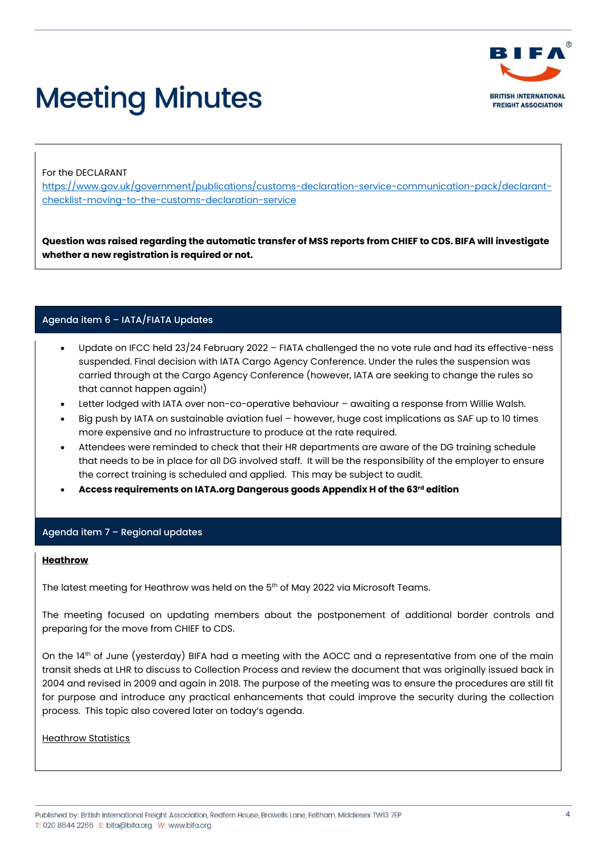

For the DECLARANT

[https://www.gov.uk/government/publications/customs-declaration-service-communication-pack/declarant](https://www.gov.uk/government/publications/customs-declaration-service-communication-pack/declarant-checklist-moving-to-the-customs-declaration-service)[checklist-moving-to-the-customs-declaration-service](https://www.gov.uk/government/publications/customs-declaration-service-communication-pack/declarant-checklist-moving-to-the-customs-declaration-service)

**Question was raised regarding the automatic transfer of MSS reports from CHIEF to CDS. BIFA will investigate whether a new registration is required or not.**

# Agenda item 6 – IATA/FIATA Updates

- Update on IFCC held 23/24 February 2022 FIATA challenged the no vote rule and had its effective-ness suspended. Final decision with IATA Cargo Agency Conference. Under the rules the suspension was carried through at the Cargo Agency Conference (however, IATA are seeking to change the rules so that cannot happen again!)
- Letter lodged with IATA over non-co-operative behaviour awaiting a response from Willie Walsh.
- Big push by IATA on sustainable aviation fuel however, huge cost implications as SAF up to 10 times more expensive and no infrastructure to produce at the rate required.
- Attendees were reminded to check that their HR departments are aware of the DG training schedule that needs to be in place for all DG involved staff. It will be the responsibility of the employer to ensure the correct training is scheduled and applied. This may be subject to audit.
- **Access requirements on IATA.org Dangerous goods Appendix H of the 63rd edition**

## Agenda item 7 – Regional updates

#### **Heathrow**

The latest meeting for Heathrow was held on the 5<sup>th</sup> of May 2022 via Microsoft Teams.

The meeting focused on updating members about the postponement of additional border controls and preparing for the move from CHIEF to CDS.

On the 14<sup>th</sup> of June (yesterday) BIFA had a meeting with the AOCC and a representative from one of the main transit sheds at LHR to discuss to Collection Process and review the document that was originally issued back in 2004 and revised in 2009 and again in 2018. The purpose of the meeting was to ensure the procedures are still fit for purpose and introduce any practical enhancements that could improve the security during the collection process. This topic also covered later on today's agenda.

**Heathrow Statistics**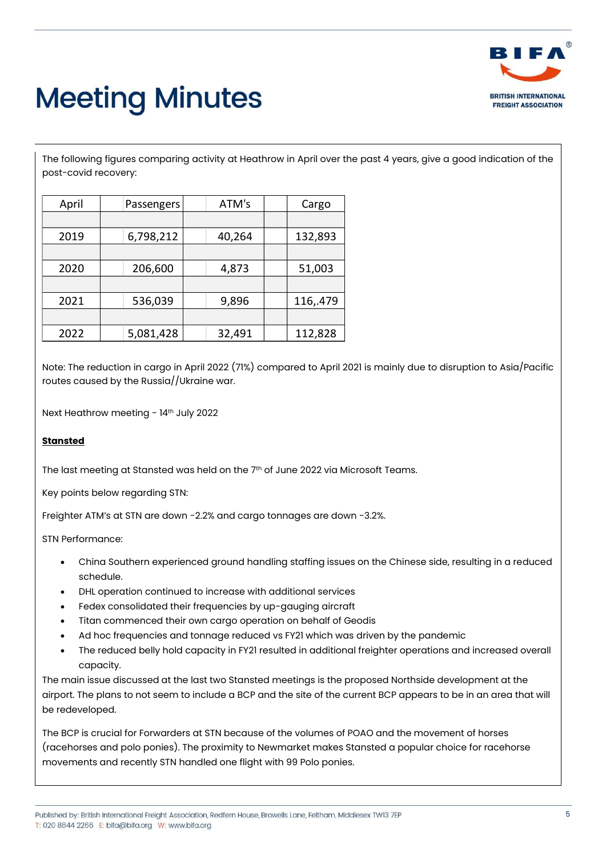

The following figures comparing activity at Heathrow in April over the past 4 years, give a good indication of the post-covid recovery:

| April | Passengers | ATM's  | Cargo    |
|-------|------------|--------|----------|
|       |            |        |          |
| 2019  | 6,798,212  | 40,264 | 132,893  |
|       |            |        |          |
| 2020  | 206,600    | 4,873  | 51,003   |
|       |            |        |          |
| 2021  | 536,039    | 9,896  | 116,.479 |
|       |            |        |          |
| 2022  | 5,081,428  | 32,491 | 112,828  |

Note: The reduction in cargo in April 2022 (71%) compared to April 2021 is mainly due to disruption to Asia/Pacific routes caused by the Russia//Ukraine war.

Next Heathrow meeting - 14<sup>th</sup> July 2022

## **Stansted**

The last meeting at Stansted was held on the  $7<sup>th</sup>$  of June 2022 via Microsoft Teams.

Key points below regarding STN:

Freighter ATM's at STN are down -2.2% and cargo tonnages are down -3.2%.

STN Performance:

- China Southern experienced ground handling staffing issues on the Chinese side, resulting in a reduced schedule.
- DHL operation continued to increase with additional services
- Fedex consolidated their frequencies by up-gauging aircraft
- Titan commenced their own cargo operation on behalf of Geodis
- Ad hoc frequencies and tonnage reduced vs FY21 which was driven by the pandemic
- The reduced belly hold capacity in FY21 resulted in additional freighter operations and increased overall capacity.

The main issue discussed at the last two Stansted meetings is the proposed Northside development at the airport. The plans to not seem to include a BCP and the site of the current BCP appears to be in an area that will be redeveloped.

The BCP is crucial for Forwarders at STN because of the volumes of POAO and the movement of horses (racehorses and polo ponies). The proximity to Newmarket makes Stansted a popular choice for racehorse movements and recently STN handled one flight with 99 Polo ponies.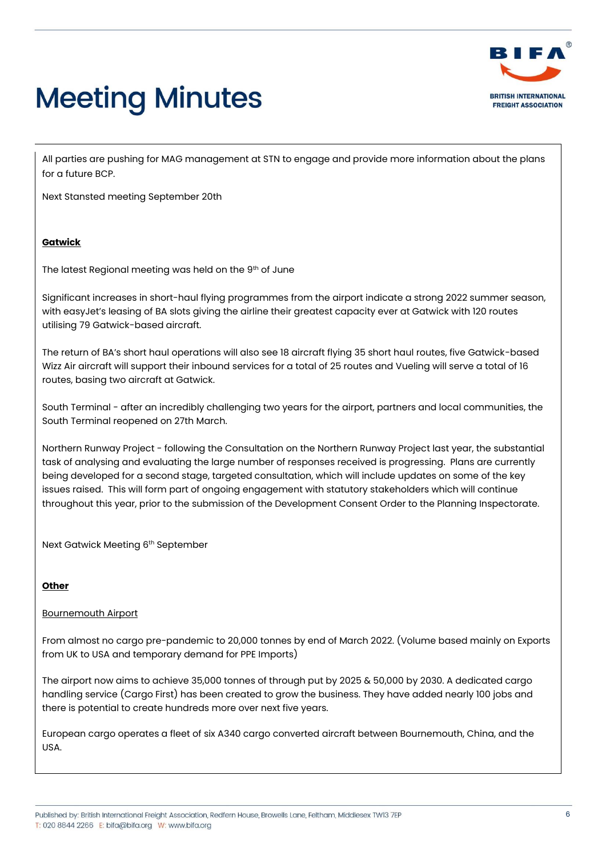

All parties are pushing for MAG management at STN to engage and provide more information about the plans for a future BCP.

Next Stansted meeting September 20th

## **Gatwick**

The latest Regional meeting was held on the 9th of June

Significant increases in short-haul flying programmes from the airport indicate a strong 2022 summer season, with easyJet's leasing of BA slots giving the airline their greatest capacity ever at Gatwick with 120 routes utilising 79 Gatwick-based aircraft.

The return of BA's short haul operations will also see 18 aircraft flying 35 short haul routes, five Gatwick-based Wizz Air aircraft will support their inbound services for a total of 25 routes and Vueling will serve a total of 16 routes, basing two aircraft at Gatwick.

South Terminal - after an incredibly challenging two years for the airport, partners and local communities, the South Terminal reopened on 27th March.

Northern Runway Project - following the Consultation on the Northern Runway Project last year, the substantial task of analysing and evaluating the large number of responses received is progressing. Plans are currently being developed for a second stage, targeted consultation, which will include updates on some of the key issues raised. This will form part of ongoing engagement with statutory stakeholders which will continue throughout this year, prior to the submission of the Development Consent Order to the Planning Inspectorate.

Next Gatwick Meeting 6th September

## **Other**

#### Bournemouth Airport

From almost no cargo pre-pandemic to 20,000 tonnes by end of March 2022. (Volume based mainly on Exports from UK to USA and temporary demand for PPE Imports)

The airport now aims to achieve 35,000 tonnes of through put by 2025 & 50,000 by 2030. A dedicated cargo handling service (Cargo First) has been created to grow the business. They have added nearly 100 jobs and there is potential to create hundreds more over next five years.

European cargo operates a fleet of six A340 cargo converted aircraft between Bournemouth, China, and the USA.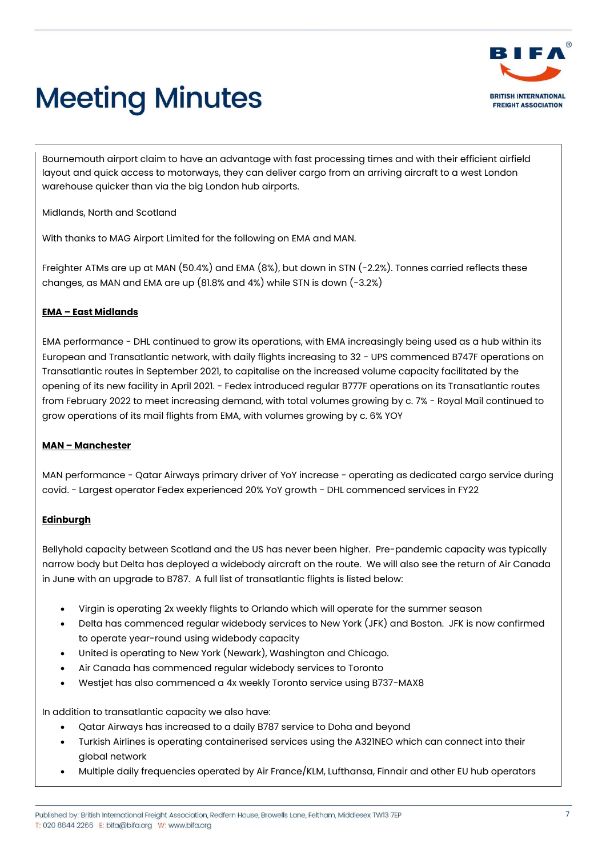

Bournemouth airport claim to have an advantage with fast processing times and with their efficient airfield layout and quick access to motorways, they can deliver cargo from an arriving aircraft to a west London warehouse quicker than via the big London hub airports.

Midlands, North and Scotland

With thanks to MAG Airport Limited for the following on EMA and MAN.

Freighter ATMs are up at MAN (50.4%) and EMA (8%), but down in STN (-2.2%). Tonnes carried reflects these changes, as MAN and EMA are up (81.8% and 4%) while STN is down (-3.2%)

## **EMA – East Midlands**

EMA performance - DHL continued to grow its operations, with EMA increasingly being used as a hub within its European and Transatlantic network, with daily flights increasing to 32 - UPS commenced B747F operations on Transatlantic routes in September 2021, to capitalise on the increased volume capacity facilitated by the opening of its new facility in April 2021. - Fedex introduced regular B777F operations on its Transatlantic routes from February 2022 to meet increasing demand, with total volumes growing by c. 7% - Royal Mail continued to grow operations of its mail flights from EMA, with volumes growing by c. 6% YOY

# **MAN – Manchester**

MAN performance - Qatar Airways primary driver of YoY increase - operating as dedicated cargo service during covid. - Largest operator Fedex experienced 20% YoY growth - DHL commenced services in FY22

# **Edinburgh**

Bellyhold capacity between Scotland and the US has never been higher. Pre-pandemic capacity was typically narrow body but Delta has deployed a widebody aircraft on the route. We will also see the return of Air Canada in June with an upgrade to B787. A full list of transatlantic flights is listed below:

- Virgin is operating 2x weekly flights to Orlando which will operate for the summer season
- Delta has commenced regular widebody services to New York (JFK) and Boston. JFK is now confirmed to operate year-round using widebody capacity
- United is operating to New York (Newark), Washington and Chicago.
- Air Canada has commenced regular widebody services to Toronto
- Westjet has also commenced a 4x weekly Toronto service using B737-MAX8

In addition to transatlantic capacity we also have:

- Qatar Airways has increased to a daily B787 service to Doha and beyond
- Turkish Airlines is operating containerised services using the A321NEO which can connect into their global network
- Multiple daily frequencies operated by Air France/KLM, Lufthansa, Finnair and other EU hub operators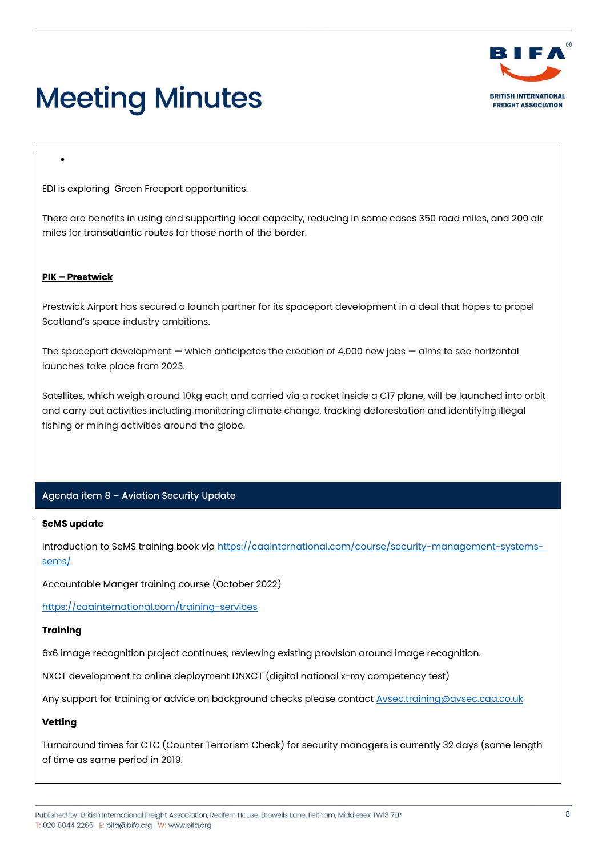

EDI is exploring Green Freeport opportunities.

There are benefits in using and supporting local capacity, reducing in some cases 350 road miles, and 200 air miles for transatlantic routes for those north of the border.

#### **PIK – Prestwick**

•

Prestwick Airport has secured a launch partner for its spaceport development in a deal that hopes to propel Scotland's space industry ambitions.

The spaceport development  $-$  which anticipates the creation of 4,000 new jobs  $-$  aims to see horizontal launches take place from 2023.

Satellites, which weigh around 10kg each and carried via a rocket inside a C17 plane, will be launched into orbit and carry out activities including monitoring climate change, tracking deforestation and identifying illegal fishing or mining activities around the globe.

## Agenda item 8 – Aviation Security Update

#### **SeMS update**

Introduction to SeMS training book vi[a https://caainternational.com/course/security-management-systems](https://caainternational.com/course/security-management-systems-sems/)[sems/](https://caainternational.com/course/security-management-systems-sems/)

Accountable Manger training course (October 2022)

<https://caainternational.com/training-services>

#### **Training**

6x6 image recognition project continues, reviewing existing provision around image recognition.

NXCT development to online deployment DNXCT (digital national x-ray competency test)

Any support for training or advice on background checks please contac[t Avsec.training@avsec.caa.co.uk](mailto:Avsec.training@avsec.caa.co.uk)

## **Vetting**

Turnaround times for CTC (Counter Terrorism Check) for security managers is currently 32 days (same length of time as same period in 2019.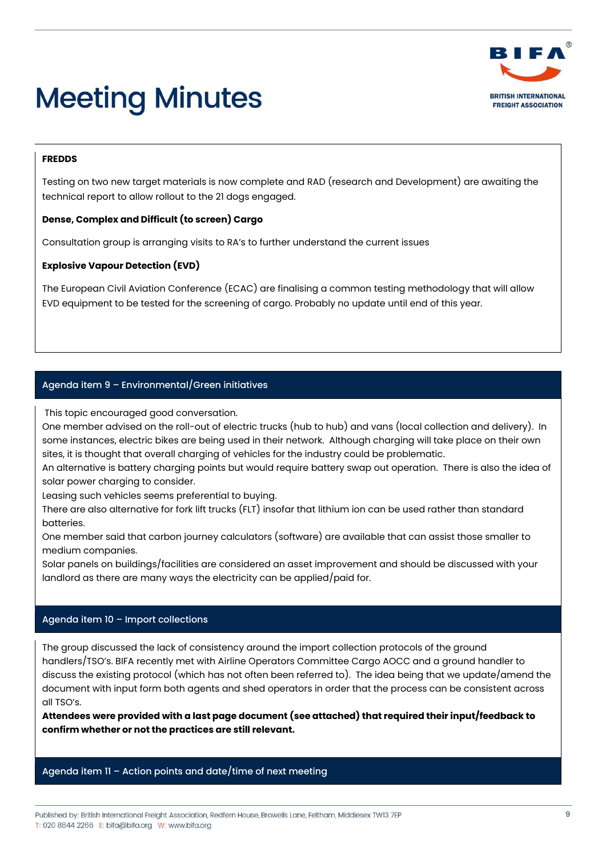

## **FREDDS**

Testing on two new target materials is now complete and RAD (research and Development) are awaiting the technical report to allow rollout to the 21 dogs engaged.

## **Dense, Complex and Difficult (to screen) Cargo**

Consultation group is arranging visits to RA's to further understand the current issues

## **Explosive Vapour Detection (EVD)**

The European Civil Aviation Conference (ECAC) are finalising a common testing methodology that will allow EVD equipment to be tested for the screening of cargo. Probably no update until end of this year.

# Agenda item 9 – Environmental/Green initiatives

This topic encouraged good conversation.

One member advised on the roll-out of electric trucks (hub to hub) and vans (local collection and delivery). In some instances, electric bikes are being used in their network. Although charging will take place on their own sites, it is thought that overall charging of vehicles for the industry could be problematic.

An alternative is battery charging points but would require battery swap out operation. There is also the idea of solar power charging to consider.

Leasing such vehicles seems preferential to buying.

There are also alternative for fork lift trucks (FLT) insofar that lithium ion can be used rather than standard batteries.

One member said that carbon journey calculators (software) are available that can assist those smaller to medium companies.

Solar panels on buildings/facilities are considered an asset improvement and should be discussed with your landlord as there are many ways the electricity can be applied/paid for.

# Agenda item 10 – Import collections

The group discussed the lack of consistency around the import collection protocols of the ground handlers/TSO's. BIFA recently met with Airline Operators Committee Cargo AOCC and a ground handler to discuss the existing protocol (which has not often been referred to). The idea being that we update/amend the document with input form both agents and shed operators in order that the process can be consistent across all TSO's.

**Attendees were provided with a last page document (see attached) that required their input/feedback to confirm whether or not the practices are still relevant.**

## Agenda item 11 – Action points and date/time of next meeting